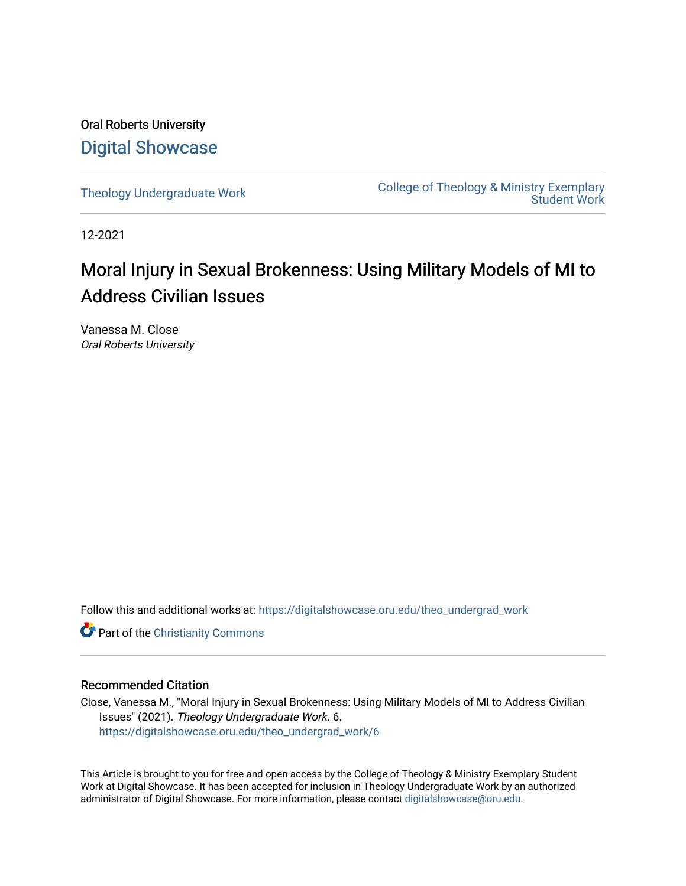Oral Roberts University [Digital Showcase](https://digitalshowcase.oru.edu/)

[Theology Undergraduate Work](https://digitalshowcase.oru.edu/theo_undergrad_work) College of Theology & Ministry Exemplary [Student Work](https://digitalshowcase.oru.edu/cotm_undergrad_work) 

12-2021

# Moral Injury in Sexual Brokenness: Using Military Models of MI to Address Civilian Issues

Vanessa M. Close Oral Roberts University

Follow this and additional works at: [https://digitalshowcase.oru.edu/theo\\_undergrad\\_work](https://digitalshowcase.oru.edu/theo_undergrad_work?utm_source=digitalshowcase.oru.edu%2Ftheo_undergrad_work%2F6&utm_medium=PDF&utm_campaign=PDFCoverPages) 

Part of the [Christianity Commons](https://network.bepress.com/hgg/discipline/1181?utm_source=digitalshowcase.oru.edu%2Ftheo_undergrad_work%2F6&utm_medium=PDF&utm_campaign=PDFCoverPages) 

# Recommended Citation

Close, Vanessa M., "Moral Injury in Sexual Brokenness: Using Military Models of MI to Address Civilian Issues" (2021). Theology Undergraduate Work. 6. [https://digitalshowcase.oru.edu/theo\\_undergrad\\_work/6](https://digitalshowcase.oru.edu/theo_undergrad_work/6?utm_source=digitalshowcase.oru.edu%2Ftheo_undergrad_work%2F6&utm_medium=PDF&utm_campaign=PDFCoverPages) 

This Article is brought to you for free and open access by the College of Theology & Ministry Exemplary Student Work at Digital Showcase. It has been accepted for inclusion in Theology Undergraduate Work by an authorized administrator of Digital Showcase. For more information, please contact [digitalshowcase@oru.edu.](mailto:digitalshowcase@oru.edu)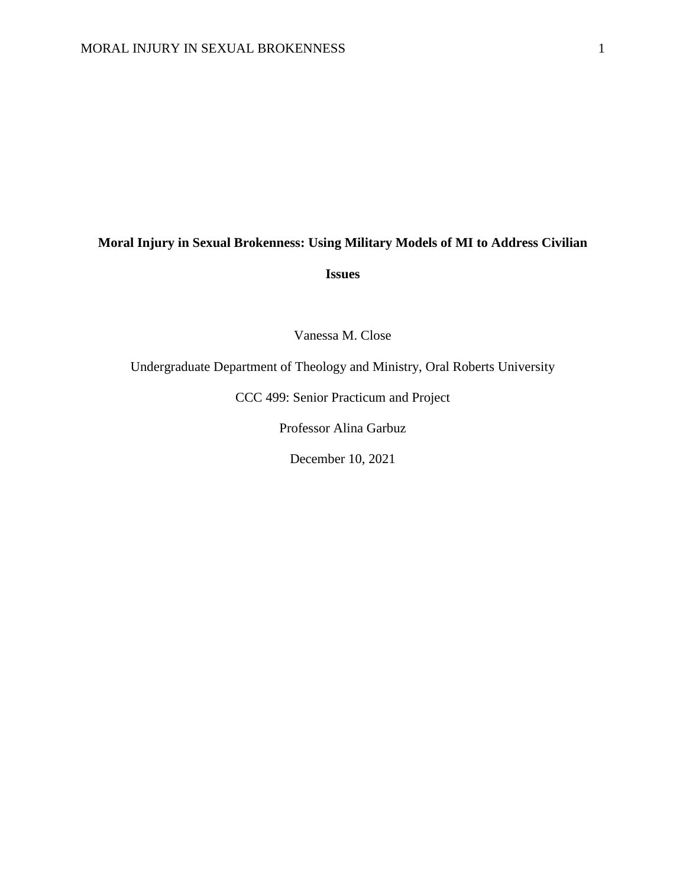# **Moral Injury in Sexual Brokenness: Using Military Models of MI to Address Civilian**

**Issues**

Vanessa M. Close

Undergraduate Department of Theology and Ministry, Oral Roberts University

CCC 499: Senior Practicum and Project

Professor Alina Garbuz

December 10, 2021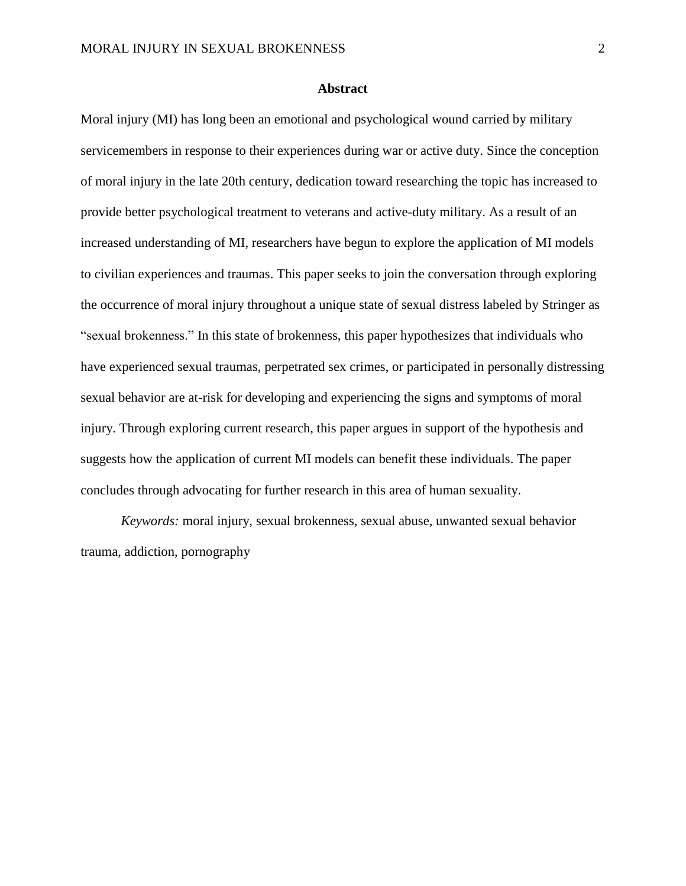#### **Abstract**

Moral injury (MI) has long been an emotional and psychological wound carried by military servicemembers in response to their experiences during war or active duty. Since the conception of moral injury in the late 20th century, dedication toward researching the topic has increased to provide better psychological treatment to veterans and active-duty military. As a result of an increased understanding of MI, researchers have begun to explore the application of MI models to civilian experiences and traumas. This paper seeks to join the conversation through exploring the occurrence of moral injury throughout a unique state of sexual distress labeled by Stringer as "sexual brokenness." In this state of brokenness, this paper hypothesizes that individuals who have experienced sexual traumas, perpetrated sex crimes, or participated in personally distressing sexual behavior are at-risk for developing and experiencing the signs and symptoms of moral injury. Through exploring current research, this paper argues in support of the hypothesis and suggests how the application of current MI models can benefit these individuals. The paper concludes through advocating for further research in this area of human sexuality.

*Keywords:* moral injury, sexual brokenness, sexual abuse, unwanted sexual behavior trauma, addiction, pornography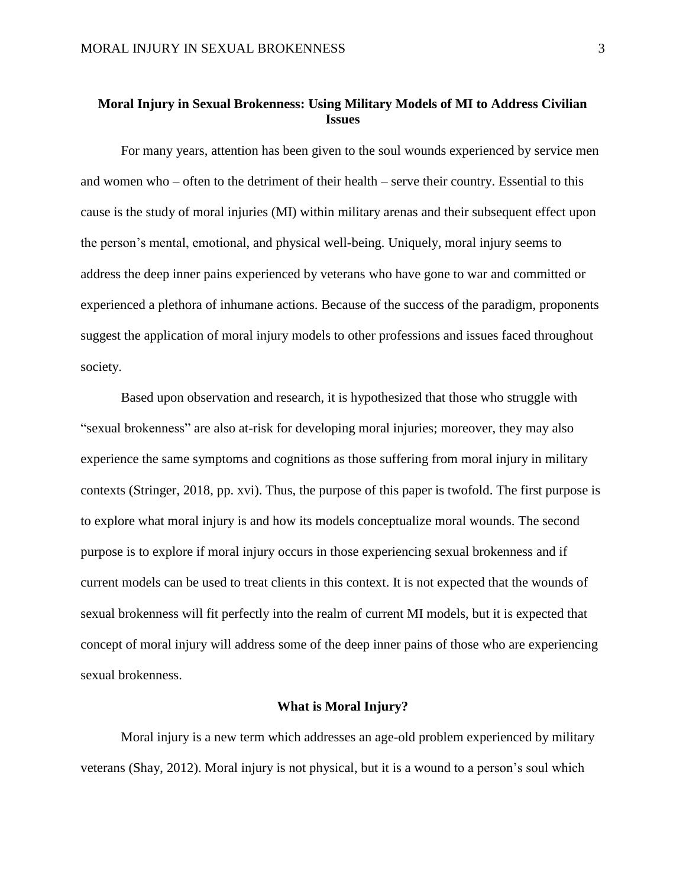# **Moral Injury in Sexual Brokenness: Using Military Models of MI to Address Civilian Issues**

For many years, attention has been given to the soul wounds experienced by service men and women who – often to the detriment of their health – serve their country. Essential to this cause is the study of moral injuries (MI) within military arenas and their subsequent effect upon the person's mental, emotional, and physical well-being. Uniquely, moral injury seems to address the deep inner pains experienced by veterans who have gone to war and committed or experienced a plethora of inhumane actions. Because of the success of the paradigm, proponents suggest the application of moral injury models to other professions and issues faced throughout society.

Based upon observation and research, it is hypothesized that those who struggle with "sexual brokenness" are also at-risk for developing moral injuries; moreover, they may also experience the same symptoms and cognitions as those suffering from moral injury in military contexts (Stringer, 2018, pp. xvi). Thus, the purpose of this paper is twofold. The first purpose is to explore what moral injury is and how its models conceptualize moral wounds. The second purpose is to explore if moral injury occurs in those experiencing sexual brokenness and if current models can be used to treat clients in this context. It is not expected that the wounds of sexual brokenness will fit perfectly into the realm of current MI models, but it is expected that concept of moral injury will address some of the deep inner pains of those who are experiencing sexual brokenness.

#### **What is Moral Injury?**

Moral injury is a new term which addresses an age-old problem experienced by military veterans (Shay, 2012). Moral injury is not physical, but it is a wound to a person's soul which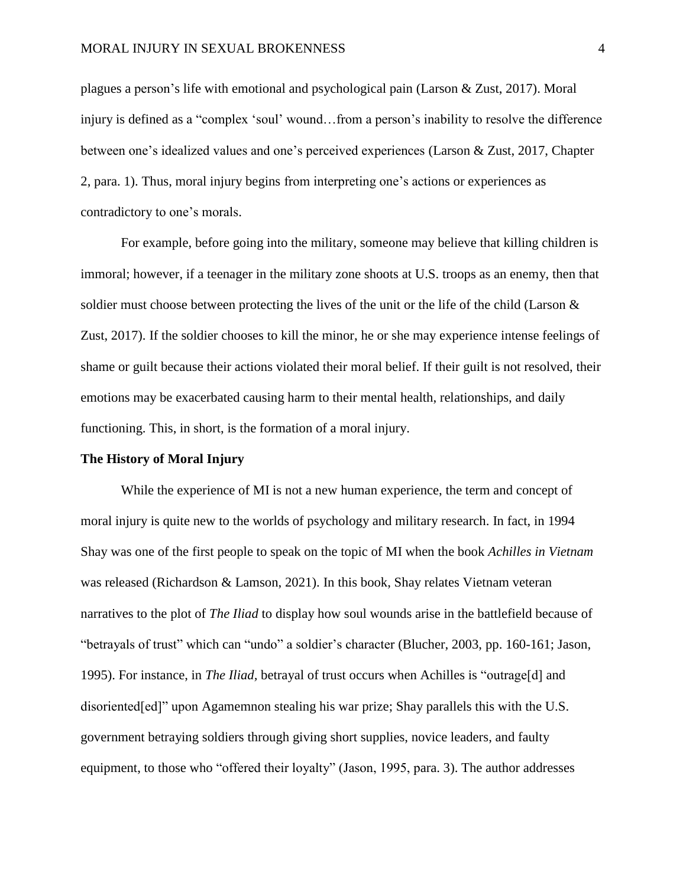plagues a person's life with emotional and psychological pain (Larson & Zust, 2017). Moral injury is defined as a "complex 'soul' wound…from a person's inability to resolve the difference between one's idealized values and one's perceived experiences (Larson & Zust, 2017, Chapter 2, para. 1). Thus, moral injury begins from interpreting one's actions or experiences as contradictory to one's morals.

For example, before going into the military, someone may believe that killing children is immoral; however, if a teenager in the military zone shoots at U.S. troops as an enemy, then that soldier must choose between protecting the lives of the unit or the life of the child (Larson  $\&$ Zust, 2017). If the soldier chooses to kill the minor, he or she may experience intense feelings of shame or guilt because their actions violated their moral belief. If their guilt is not resolved, their emotions may be exacerbated causing harm to their mental health, relationships, and daily functioning. This, in short, is the formation of a moral injury.

#### **The History of Moral Injury**

While the experience of MI is not a new human experience, the term and concept of moral injury is quite new to the worlds of psychology and military research. In fact, in 1994 Shay was one of the first people to speak on the topic of MI when the book *Achilles in Vietnam* was released (Richardson & Lamson, 2021). In this book, Shay relates Vietnam veteran narratives to the plot of *The Iliad* to display how soul wounds arise in the battlefield because of "betrayals of trust" which can "undo" a soldier's character (Blucher, 2003, pp. 160-161; Jason, 1995). For instance, in *The Iliad,* betrayal of trust occurs when Achilles is "outrage[d] and disoriented[ed]" upon Agamemnon stealing his war prize; Shay parallels this with the U.S. government betraying soldiers through giving short supplies, novice leaders, and faulty equipment, to those who "offered their loyalty" (Jason, 1995, para. 3). The author addresses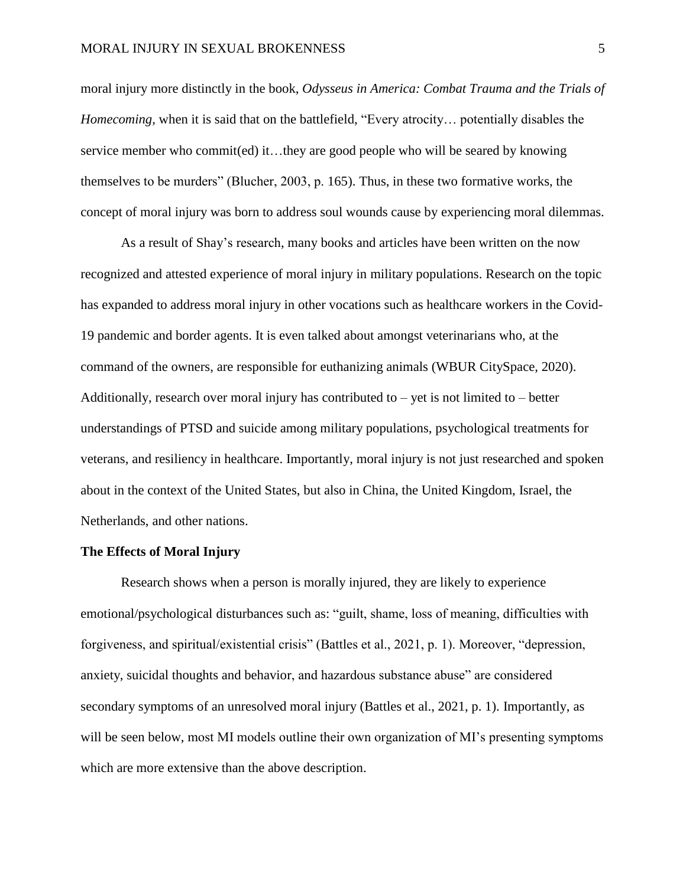moral injury more distinctly in the book, *Odysseus in America: Combat Trauma and the Trials of Homecoming,* when it is said that on the battlefield, "Every atrocity… potentially disables the service member who commit(ed) it…they are good people who will be seared by knowing themselves to be murders" (Blucher, 2003, p. 165). Thus, in these two formative works, the concept of moral injury was born to address soul wounds cause by experiencing moral dilemmas.

As a result of Shay's research, many books and articles have been written on the now recognized and attested experience of moral injury in military populations. Research on the topic has expanded to address moral injury in other vocations such as healthcare workers in the Covid-19 pandemic and border agents. It is even talked about amongst veterinarians who, at the command of the owners, are responsible for euthanizing animals (WBUR CitySpace, 2020). Additionally, research over moral injury has contributed to  $-$  yet is not limited to  $-$  better understandings of PTSD and suicide among military populations, psychological treatments for veterans, and resiliency in healthcare. Importantly, moral injury is not just researched and spoken about in the context of the United States, but also in China, the United Kingdom, Israel, the Netherlands, and other nations.

#### **The Effects of Moral Injury**

Research shows when a person is morally injured, they are likely to experience emotional/psychological disturbances such as: "guilt, shame, loss of meaning, difficulties with forgiveness, and spiritual/existential crisis" (Battles et al., 2021, p. 1). Moreover, "depression, anxiety, suicidal thoughts and behavior, and hazardous substance abuse" are considered secondary symptoms of an unresolved moral injury (Battles et al., 2021, p. 1). Importantly, as will be seen below, most MI models outline their own organization of MI's presenting symptoms which are more extensive than the above description.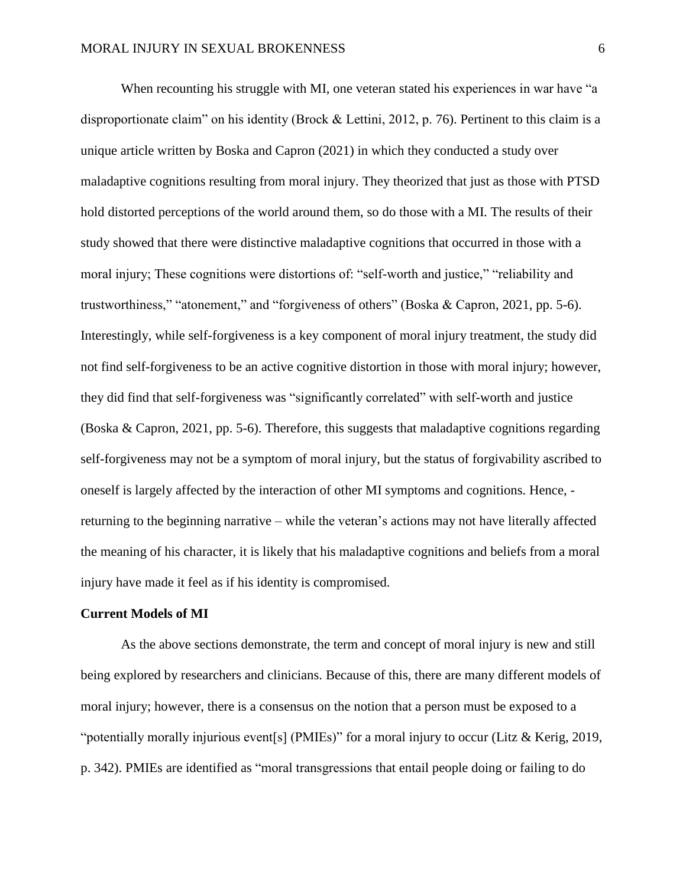When recounting his struggle with MI, one veteran stated his experiences in war have "a disproportionate claim" on his identity (Brock & Lettini, 2012, p. 76). Pertinent to this claim is a unique article written by Boska and Capron (2021) in which they conducted a study over maladaptive cognitions resulting from moral injury. They theorized that just as those with PTSD hold distorted perceptions of the world around them, so do those with a MI. The results of their study showed that there were distinctive maladaptive cognitions that occurred in those with a moral injury; These cognitions were distortions of: "self-worth and justice," "reliability and trustworthiness," "atonement," and "forgiveness of others" (Boska & Capron, 2021, pp. 5-6). Interestingly, while self-forgiveness is a key component of moral injury treatment, the study did not find self-forgiveness to be an active cognitive distortion in those with moral injury; however, they did find that self-forgiveness was "significantly correlated" with self-worth and justice (Boska & Capron, 2021, pp. 5-6). Therefore, this suggests that maladaptive cognitions regarding self-forgiveness may not be a symptom of moral injury, but the status of forgivability ascribed to oneself is largely affected by the interaction of other MI symptoms and cognitions. Hence, returning to the beginning narrative – while the veteran's actions may not have literally affected the meaning of his character, it is likely that his maladaptive cognitions and beliefs from a moral injury have made it feel as if his identity is compromised.

#### **Current Models of MI**

As the above sections demonstrate, the term and concept of moral injury is new and still being explored by researchers and clinicians. Because of this, there are many different models of moral injury; however, there is a consensus on the notion that a person must be exposed to a "potentially morally injurious event[s] (PMIEs)" for a moral injury to occur (Litz & Kerig, 2019, p. 342). PMIEs are identified as "moral transgressions that entail people doing or failing to do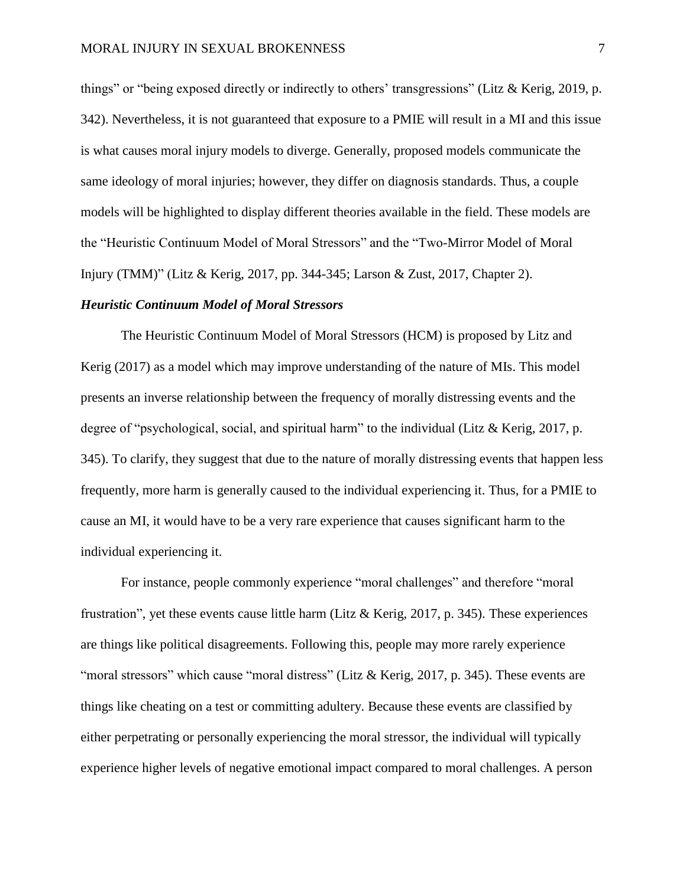things" or "being exposed directly or indirectly to others' transgressions" (Litz & Kerig, 2019, p. 342). Nevertheless, it is not guaranteed that exposure to a PMIE will result in a MI and this issue is what causes moral injury models to diverge. Generally, proposed models communicate the same ideology of moral injuries; however, they differ on diagnosis standards. Thus, a couple models will be highlighted to display different theories available in the field. These models are the "Heuristic Continuum Model of Moral Stressors" and the "Two-Mirror Model of Moral Injury (TMM)" (Litz & Kerig, 2017, pp. 344-345; Larson & Zust, 2017, Chapter 2).

#### *Heuristic Continuum Model of Moral Stressors*

The Heuristic Continuum Model of Moral Stressors (HCM) is proposed by Litz and Kerig (2017) as a model which may improve understanding of the nature of MIs. This model presents an inverse relationship between the frequency of morally distressing events and the degree of "psychological, social, and spiritual harm" to the individual (Litz & Kerig, 2017, p. 345). To clarify, they suggest that due to the nature of morally distressing events that happen less frequently, more harm is generally caused to the individual experiencing it. Thus, for a PMIE to cause an MI, it would have to be a very rare experience that causes significant harm to the individual experiencing it.

For instance, people commonly experience "moral challenges" and therefore "moral frustration", yet these events cause little harm (Litz & Kerig, 2017, p. 345). These experiences are things like political disagreements. Following this, people may more rarely experience "moral stressors" which cause "moral distress" (Litz & Kerig, 2017, p. 345). These events are things like cheating on a test or committing adultery. Because these events are classified by either perpetrating or personally experiencing the moral stressor, the individual will typically experience higher levels of negative emotional impact compared to moral challenges. A person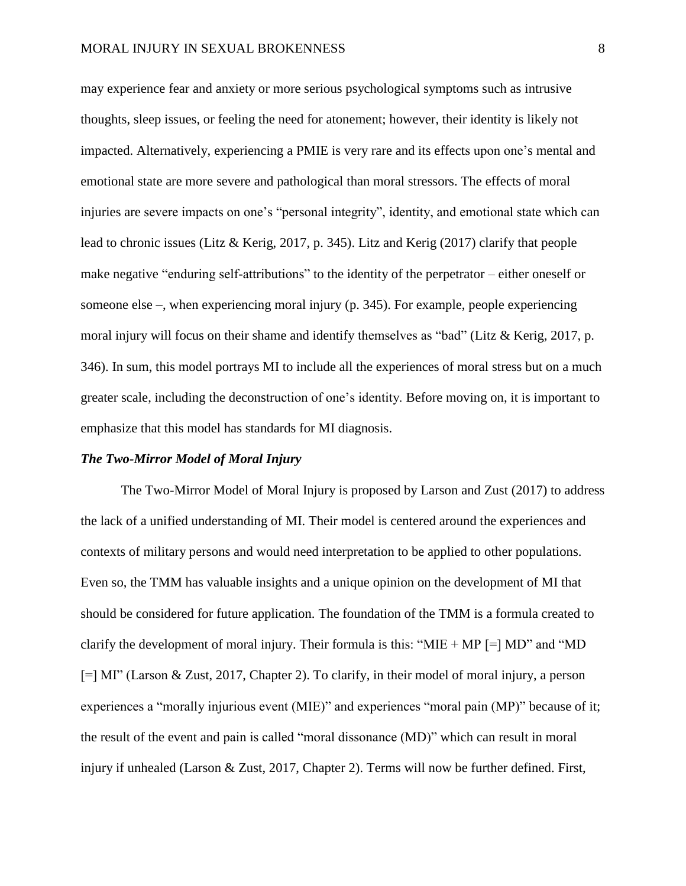may experience fear and anxiety or more serious psychological symptoms such as intrusive thoughts, sleep issues, or feeling the need for atonement; however, their identity is likely not impacted. Alternatively, experiencing a PMIE is very rare and its effects upon one's mental and emotional state are more severe and pathological than moral stressors. The effects of moral injuries are severe impacts on one's "personal integrity", identity, and emotional state which can lead to chronic issues (Litz & Kerig, 2017, p. 345). Litz and Kerig (2017) clarify that people make negative "enduring self-attributions" to the identity of the perpetrator – either oneself or someone else –, when experiencing moral injury (p. 345). For example, people experiencing moral injury will focus on their shame and identify themselves as "bad" (Litz & Kerig, 2017, p. 346). In sum, this model portrays MI to include all the experiences of moral stress but on a much greater scale, including the deconstruction of one's identity. Before moving on, it is important to emphasize that this model has standards for MI diagnosis.

#### *The Two-Mirror Model of Moral Injury*

The Two-Mirror Model of Moral Injury is proposed by Larson and Zust (2017) to address the lack of a unified understanding of MI. Their model is centered around the experiences and contexts of military persons and would need interpretation to be applied to other populations. Even so, the TMM has valuable insights and a unique opinion on the development of MI that should be considered for future application. The foundation of the TMM is a formula created to clarify the development of moral injury. Their formula is this: " $MIE + MP$  [=] MD" and "MD [=] MI" (Larson & Zust, 2017, Chapter 2). To clarify, in their model of moral injury, a person experiences a "morally injurious event (MIE)" and experiences "moral pain (MP)" because of it; the result of the event and pain is called "moral dissonance (MD)" which can result in moral injury if unhealed (Larson & Zust, 2017, Chapter 2). Terms will now be further defined. First,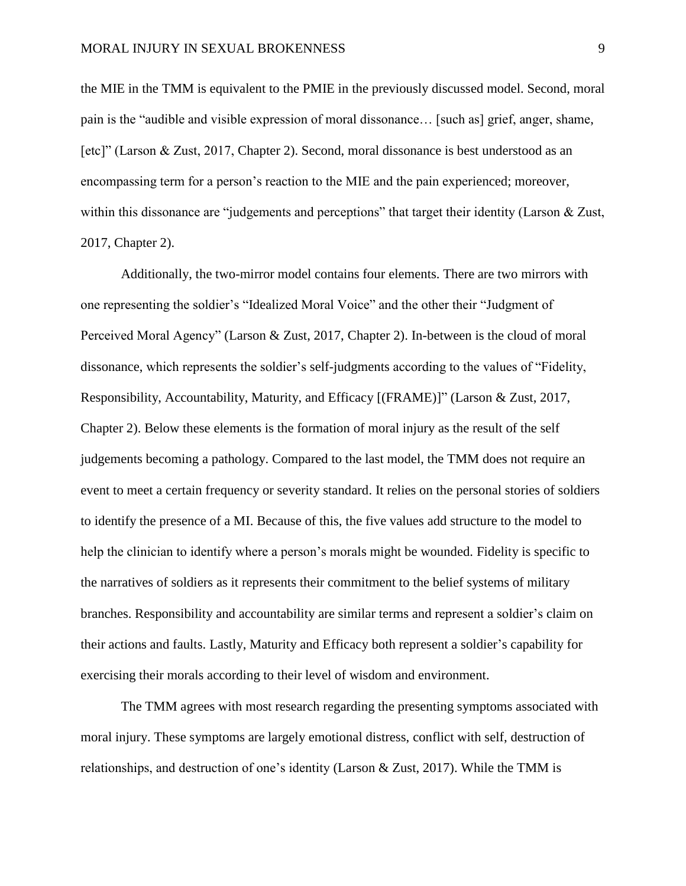the MIE in the TMM is equivalent to the PMIE in the previously discussed model. Second, moral pain is the "audible and visible expression of moral dissonance… [such as] grief, anger, shame, [etc]" (Larson & Zust, 2017, Chapter 2). Second, moral dissonance is best understood as an encompassing term for a person's reaction to the MIE and the pain experienced; moreover, within this dissonance are "judgements and perceptions" that target their identity (Larson & Zust, 2017, Chapter 2).

Additionally, the two-mirror model contains four elements. There are two mirrors with one representing the soldier's "Idealized Moral Voice" and the other their "Judgment of Perceived Moral Agency" (Larson & Zust, 2017, Chapter 2). In-between is the cloud of moral dissonance, which represents the soldier's self-judgments according to the values of "Fidelity, Responsibility, Accountability, Maturity, and Efficacy [(FRAME)]" (Larson & Zust, 2017, Chapter 2). Below these elements is the formation of moral injury as the result of the self judgements becoming a pathology. Compared to the last model, the TMM does not require an event to meet a certain frequency or severity standard. It relies on the personal stories of soldiers to identify the presence of a MI. Because of this, the five values add structure to the model to help the clinician to identify where a person's morals might be wounded. Fidelity is specific to the narratives of soldiers as it represents their commitment to the belief systems of military branches. Responsibility and accountability are similar terms and represent a soldier's claim on their actions and faults. Lastly, Maturity and Efficacy both represent a soldier's capability for exercising their morals according to their level of wisdom and environment.

The TMM agrees with most research regarding the presenting symptoms associated with moral injury. These symptoms are largely emotional distress, conflict with self, destruction of relationships, and destruction of one's identity (Larson & Zust, 2017). While the TMM is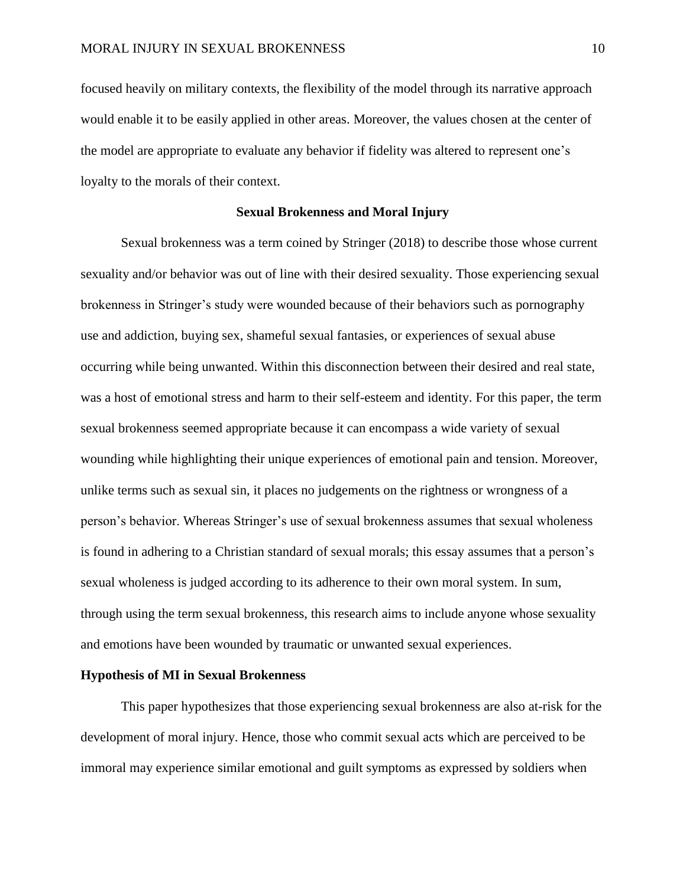focused heavily on military contexts, the flexibility of the model through its narrative approach would enable it to be easily applied in other areas. Moreover, the values chosen at the center of the model are appropriate to evaluate any behavior if fidelity was altered to represent one's loyalty to the morals of their context.

#### **Sexual Brokenness and Moral Injury**

Sexual brokenness was a term coined by Stringer (2018) to describe those whose current sexuality and/or behavior was out of line with their desired sexuality. Those experiencing sexual brokenness in Stringer's study were wounded because of their behaviors such as pornography use and addiction, buying sex, shameful sexual fantasies, or experiences of sexual abuse occurring while being unwanted. Within this disconnection between their desired and real state, was a host of emotional stress and harm to their self-esteem and identity. For this paper, the term sexual brokenness seemed appropriate because it can encompass a wide variety of sexual wounding while highlighting their unique experiences of emotional pain and tension. Moreover, unlike terms such as sexual sin, it places no judgements on the rightness or wrongness of a person's behavior. Whereas Stringer's use of sexual brokenness assumes that sexual wholeness is found in adhering to a Christian standard of sexual morals; this essay assumes that a person's sexual wholeness is judged according to its adherence to their own moral system. In sum, through using the term sexual brokenness, this research aims to include anyone whose sexuality and emotions have been wounded by traumatic or unwanted sexual experiences.

#### **Hypothesis of MI in Sexual Brokenness**

This paper hypothesizes that those experiencing sexual brokenness are also at-risk for the development of moral injury. Hence, those who commit sexual acts which are perceived to be immoral may experience similar emotional and guilt symptoms as expressed by soldiers when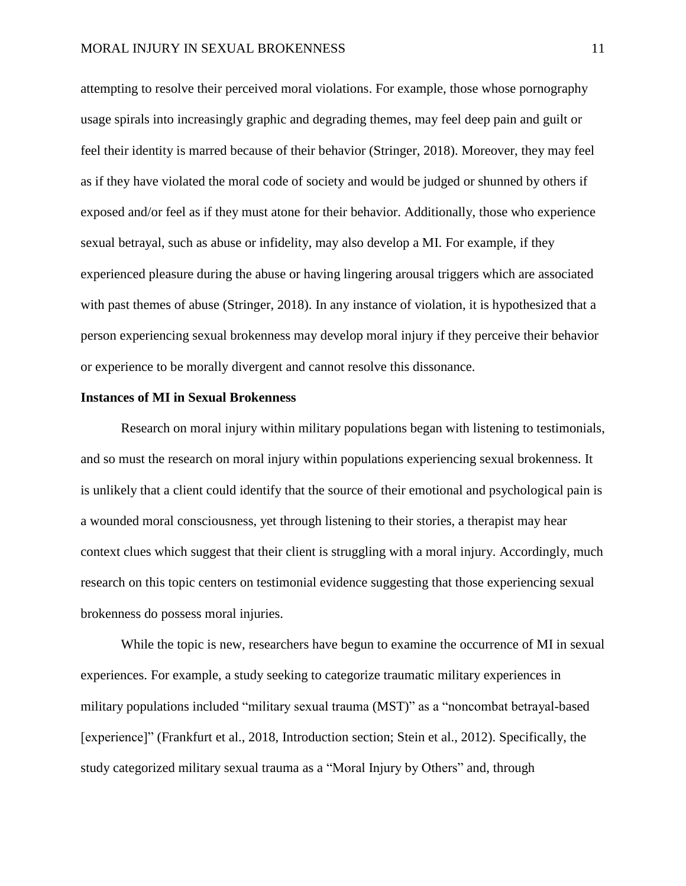attempting to resolve their perceived moral violations. For example, those whose pornography usage spirals into increasingly graphic and degrading themes, may feel deep pain and guilt or feel their identity is marred because of their behavior (Stringer, 2018). Moreover, they may feel as if they have violated the moral code of society and would be judged or shunned by others if exposed and/or feel as if they must atone for their behavior. Additionally, those who experience sexual betrayal, such as abuse or infidelity, may also develop a MI. For example, if they experienced pleasure during the abuse or having lingering arousal triggers which are associated with past themes of abuse (Stringer, 2018). In any instance of violation, it is hypothesized that a person experiencing sexual brokenness may develop moral injury if they perceive their behavior or experience to be morally divergent and cannot resolve this dissonance.

#### **Instances of MI in Sexual Brokenness**

Research on moral injury within military populations began with listening to testimonials, and so must the research on moral injury within populations experiencing sexual brokenness. It is unlikely that a client could identify that the source of their emotional and psychological pain is a wounded moral consciousness, yet through listening to their stories, a therapist may hear context clues which suggest that their client is struggling with a moral injury. Accordingly, much research on this topic centers on testimonial evidence suggesting that those experiencing sexual brokenness do possess moral injuries.

While the topic is new, researchers have begun to examine the occurrence of MI in sexual experiences. For example, a study seeking to categorize traumatic military experiences in military populations included "military sexual trauma (MST)" as a "noncombat betrayal-based [experience]" (Frankfurt et al., 2018, Introduction section; Stein et al., 2012). Specifically, the study categorized military sexual trauma as a "Moral Injury by Others" and, through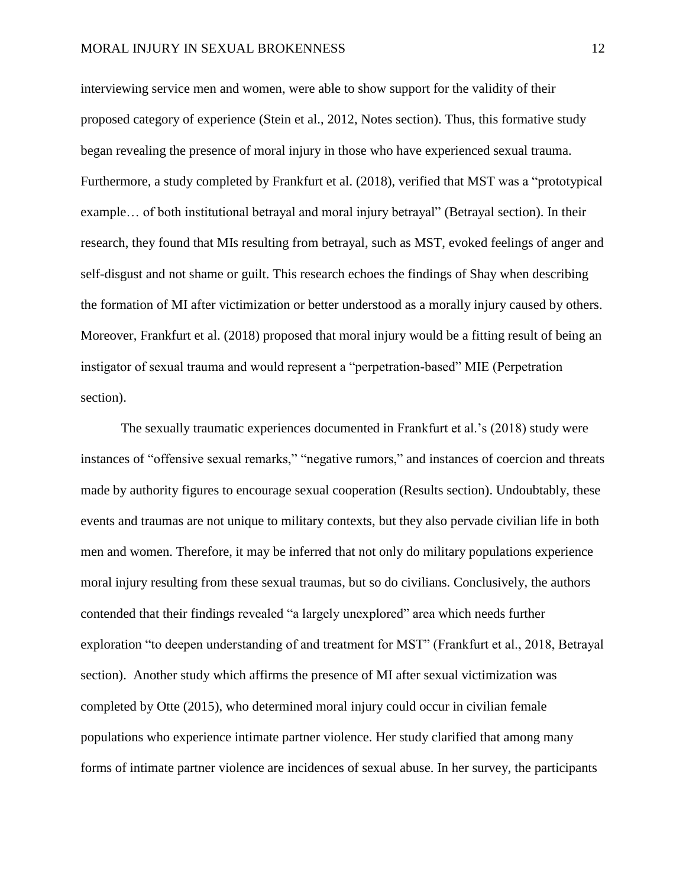interviewing service men and women, were able to show support for the validity of their proposed category of experience (Stein et al., 2012, Notes section). Thus, this formative study began revealing the presence of moral injury in those who have experienced sexual trauma. Furthermore, a study completed by Frankfurt et al. (2018), verified that MST was a "prototypical example… of both institutional betrayal and moral injury betrayal" (Betrayal section). In their research, they found that MIs resulting from betrayal, such as MST, evoked feelings of anger and self-disgust and not shame or guilt. This research echoes the findings of Shay when describing the formation of MI after victimization or better understood as a morally injury caused by others. Moreover, Frankfurt et al. (2018) proposed that moral injury would be a fitting result of being an instigator of sexual trauma and would represent a "perpetration-based" MIE (Perpetration section).

The sexually traumatic experiences documented in Frankfurt et al.'s (2018) study were instances of "offensive sexual remarks," "negative rumors," and instances of coercion and threats made by authority figures to encourage sexual cooperation (Results section). Undoubtably, these events and traumas are not unique to military contexts, but they also pervade civilian life in both men and women. Therefore, it may be inferred that not only do military populations experience moral injury resulting from these sexual traumas, but so do civilians. Conclusively, the authors contended that their findings revealed "a largely unexplored" area which needs further exploration "to deepen understanding of and treatment for MST" (Frankfurt et al., 2018, Betrayal section). Another study which affirms the presence of MI after sexual victimization was completed by Otte (2015), who determined moral injury could occur in civilian female populations who experience intimate partner violence. Her study clarified that among many forms of intimate partner violence are incidences of sexual abuse. In her survey, the participants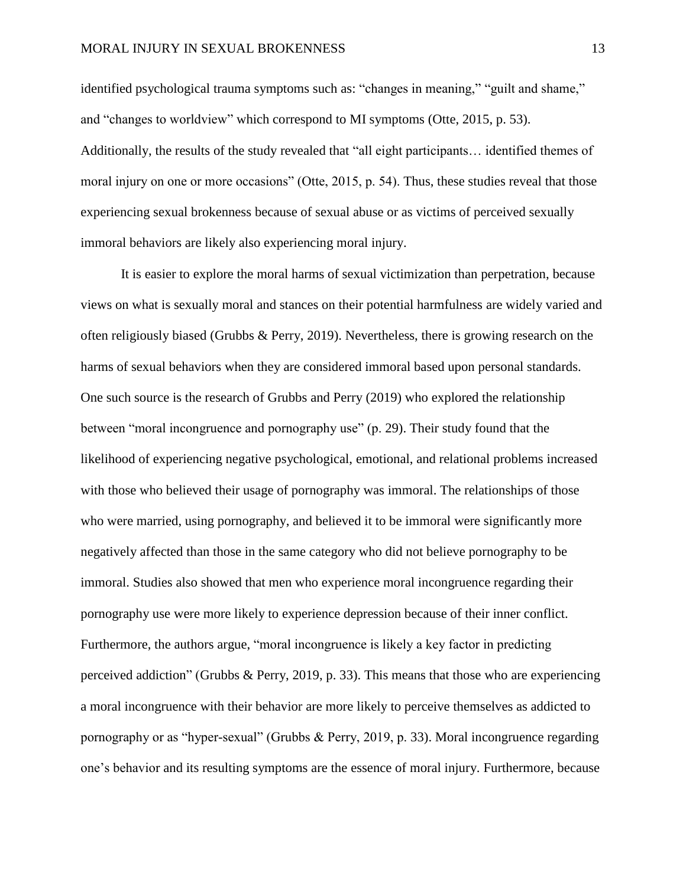identified psychological trauma symptoms such as: "changes in meaning," "guilt and shame," and "changes to worldview" which correspond to MI symptoms (Otte, 2015, p. 53). Additionally, the results of the study revealed that "all eight participants… identified themes of moral injury on one or more occasions" (Otte, 2015, p. 54). Thus, these studies reveal that those experiencing sexual brokenness because of sexual abuse or as victims of perceived sexually immoral behaviors are likely also experiencing moral injury.

It is easier to explore the moral harms of sexual victimization than perpetration, because views on what is sexually moral and stances on their potential harmfulness are widely varied and often religiously biased (Grubbs & Perry, 2019). Nevertheless, there is growing research on the harms of sexual behaviors when they are considered immoral based upon personal standards. One such source is the research of Grubbs and Perry (2019) who explored the relationship between "moral incongruence and pornography use" (p. 29). Their study found that the likelihood of experiencing negative psychological, emotional, and relational problems increased with those who believed their usage of pornography was immoral. The relationships of those who were married, using pornography, and believed it to be immoral were significantly more negatively affected than those in the same category who did not believe pornography to be immoral. Studies also showed that men who experience moral incongruence regarding their pornography use were more likely to experience depression because of their inner conflict. Furthermore, the authors argue, "moral incongruence is likely a key factor in predicting perceived addiction" (Grubbs & Perry, 2019, p. 33). This means that those who are experiencing a moral incongruence with their behavior are more likely to perceive themselves as addicted to pornography or as "hyper-sexual" (Grubbs & Perry, 2019, p. 33). Moral incongruence regarding one's behavior and its resulting symptoms are the essence of moral injury. Furthermore, because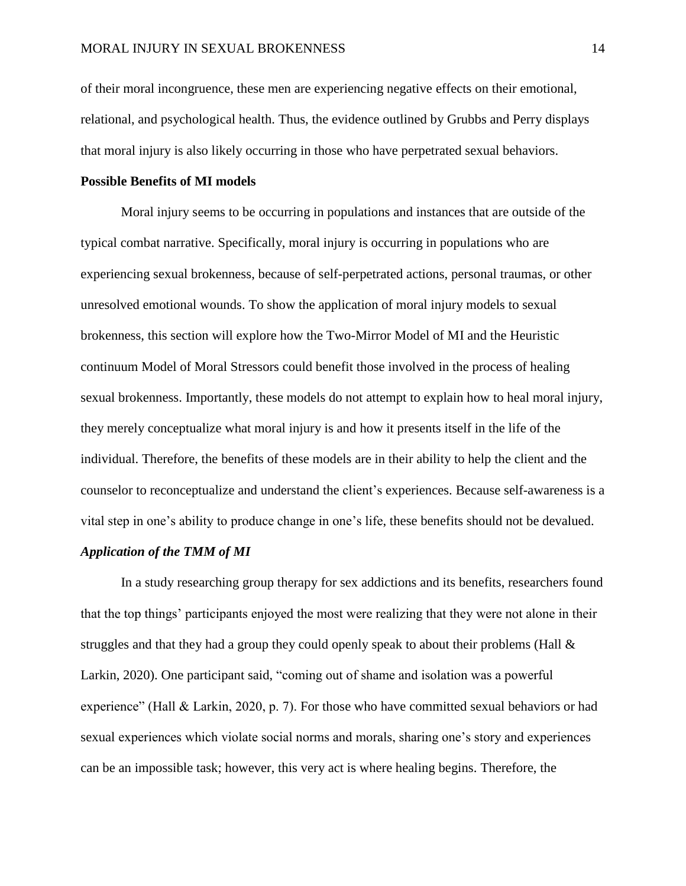of their moral incongruence, these men are experiencing negative effects on their emotional, relational, and psychological health. Thus, the evidence outlined by Grubbs and Perry displays that moral injury is also likely occurring in those who have perpetrated sexual behaviors.

#### **Possible Benefits of MI models**

Moral injury seems to be occurring in populations and instances that are outside of the typical combat narrative. Specifically, moral injury is occurring in populations who are experiencing sexual brokenness, because of self-perpetrated actions, personal traumas, or other unresolved emotional wounds. To show the application of moral injury models to sexual brokenness, this section will explore how the Two-Mirror Model of MI and the Heuristic continuum Model of Moral Stressors could benefit those involved in the process of healing sexual brokenness. Importantly, these models do not attempt to explain how to heal moral injury, they merely conceptualize what moral injury is and how it presents itself in the life of the individual. Therefore, the benefits of these models are in their ability to help the client and the counselor to reconceptualize and understand the client's experiences. Because self-awareness is a vital step in one's ability to produce change in one's life, these benefits should not be devalued.

#### *Application of the TMM of MI*

In a study researching group therapy for sex addictions and its benefits, researchers found that the top things' participants enjoyed the most were realizing that they were not alone in their struggles and that they had a group they could openly speak to about their problems (Hall & Larkin, 2020). One participant said, "coming out of shame and isolation was a powerful experience" (Hall & Larkin, 2020, p. 7). For those who have committed sexual behaviors or had sexual experiences which violate social norms and morals, sharing one's story and experiences can be an impossible task; however, this very act is where healing begins. Therefore, the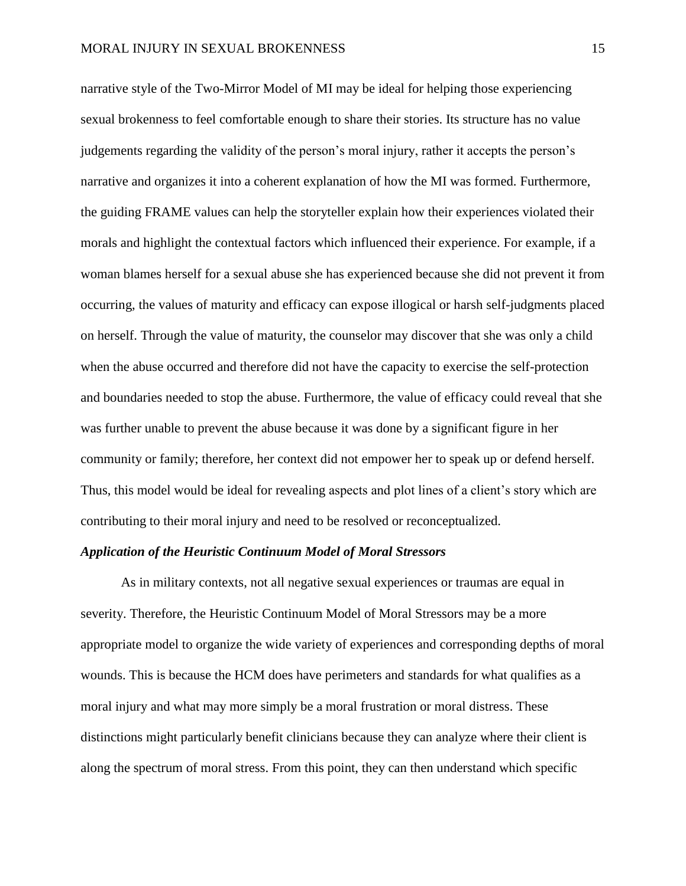narrative style of the Two-Mirror Model of MI may be ideal for helping those experiencing sexual brokenness to feel comfortable enough to share their stories. Its structure has no value judgements regarding the validity of the person's moral injury, rather it accepts the person's narrative and organizes it into a coherent explanation of how the MI was formed. Furthermore, the guiding FRAME values can help the storyteller explain how their experiences violated their morals and highlight the contextual factors which influenced their experience. For example, if a woman blames herself for a sexual abuse she has experienced because she did not prevent it from occurring, the values of maturity and efficacy can expose illogical or harsh self-judgments placed on herself. Through the value of maturity, the counselor may discover that she was only a child when the abuse occurred and therefore did not have the capacity to exercise the self-protection and boundaries needed to stop the abuse. Furthermore, the value of efficacy could reveal that she was further unable to prevent the abuse because it was done by a significant figure in her community or family; therefore, her context did not empower her to speak up or defend herself. Thus, this model would be ideal for revealing aspects and plot lines of a client's story which are contributing to their moral injury and need to be resolved or reconceptualized.

### *Application of the Heuristic Continuum Model of Moral Stressors*

As in military contexts, not all negative sexual experiences or traumas are equal in severity. Therefore, the Heuristic Continuum Model of Moral Stressors may be a more appropriate model to organize the wide variety of experiences and corresponding depths of moral wounds. This is because the HCM does have perimeters and standards for what qualifies as a moral injury and what may more simply be a moral frustration or moral distress. These distinctions might particularly benefit clinicians because they can analyze where their client is along the spectrum of moral stress. From this point, they can then understand which specific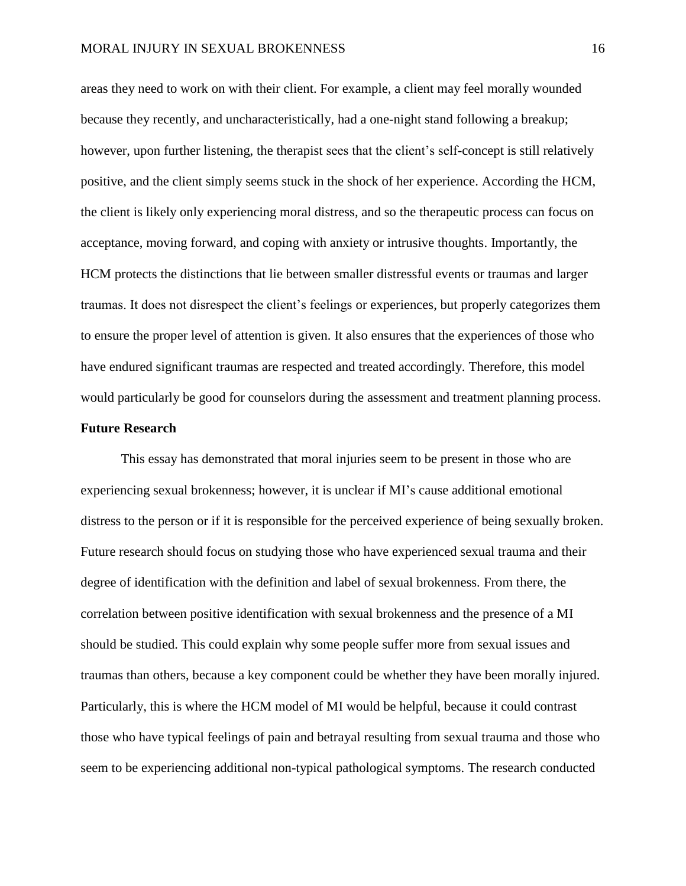areas they need to work on with their client. For example, a client may feel morally wounded because they recently, and uncharacteristically, had a one-night stand following a breakup; however, upon further listening, the therapist sees that the client's self-concept is still relatively positive, and the client simply seems stuck in the shock of her experience. According the HCM, the client is likely only experiencing moral distress, and so the therapeutic process can focus on acceptance, moving forward, and coping with anxiety or intrusive thoughts. Importantly, the HCM protects the distinctions that lie between smaller distressful events or traumas and larger traumas. It does not disrespect the client's feelings or experiences, but properly categorizes them to ensure the proper level of attention is given. It also ensures that the experiences of those who have endured significant traumas are respected and treated accordingly. Therefore, this model would particularly be good for counselors during the assessment and treatment planning process.

# **Future Research**

This essay has demonstrated that moral injuries seem to be present in those who are experiencing sexual brokenness; however, it is unclear if MI's cause additional emotional distress to the person or if it is responsible for the perceived experience of being sexually broken. Future research should focus on studying those who have experienced sexual trauma and their degree of identification with the definition and label of sexual brokenness. From there, the correlation between positive identification with sexual brokenness and the presence of a MI should be studied. This could explain why some people suffer more from sexual issues and traumas than others, because a key component could be whether they have been morally injured. Particularly, this is where the HCM model of MI would be helpful, because it could contrast those who have typical feelings of pain and betrayal resulting from sexual trauma and those who seem to be experiencing additional non-typical pathological symptoms. The research conducted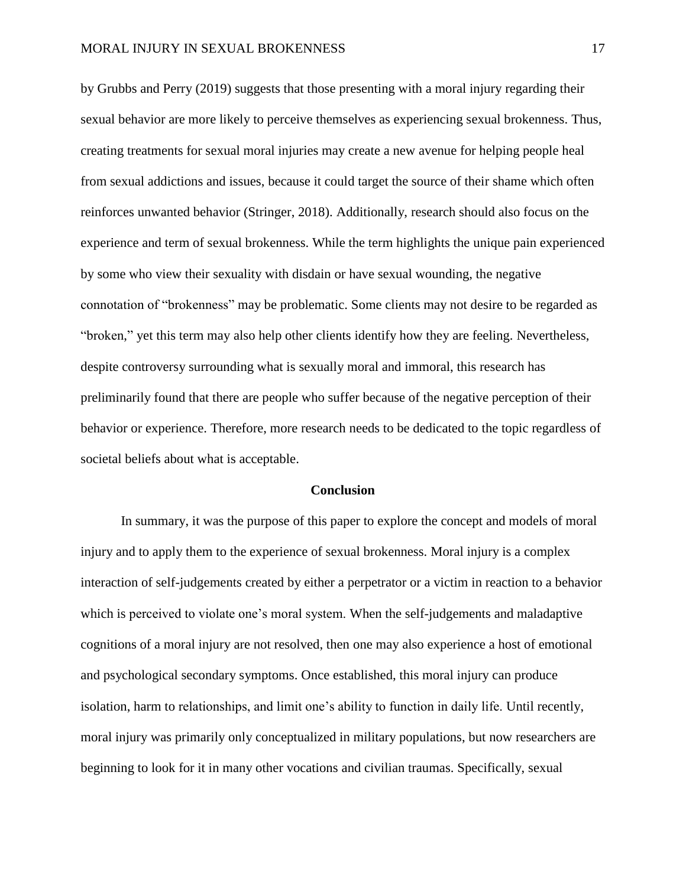by Grubbs and Perry (2019) suggests that those presenting with a moral injury regarding their sexual behavior are more likely to perceive themselves as experiencing sexual brokenness. Thus, creating treatments for sexual moral injuries may create a new avenue for helping people heal from sexual addictions and issues, because it could target the source of their shame which often reinforces unwanted behavior (Stringer, 2018). Additionally, research should also focus on the experience and term of sexual brokenness. While the term highlights the unique pain experienced by some who view their sexuality with disdain or have sexual wounding, the negative connotation of "brokenness" may be problematic. Some clients may not desire to be regarded as "broken," yet this term may also help other clients identify how they are feeling. Nevertheless, despite controversy surrounding what is sexually moral and immoral, this research has preliminarily found that there are people who suffer because of the negative perception of their behavior or experience. Therefore, more research needs to be dedicated to the topic regardless of societal beliefs about what is acceptable.

#### **Conclusion**

In summary, it was the purpose of this paper to explore the concept and models of moral injury and to apply them to the experience of sexual brokenness. Moral injury is a complex interaction of self-judgements created by either a perpetrator or a victim in reaction to a behavior which is perceived to violate one's moral system. When the self-judgements and maladaptive cognitions of a moral injury are not resolved, then one may also experience a host of emotional and psychological secondary symptoms. Once established, this moral injury can produce isolation, harm to relationships, and limit one's ability to function in daily life. Until recently, moral injury was primarily only conceptualized in military populations, but now researchers are beginning to look for it in many other vocations and civilian traumas. Specifically, sexual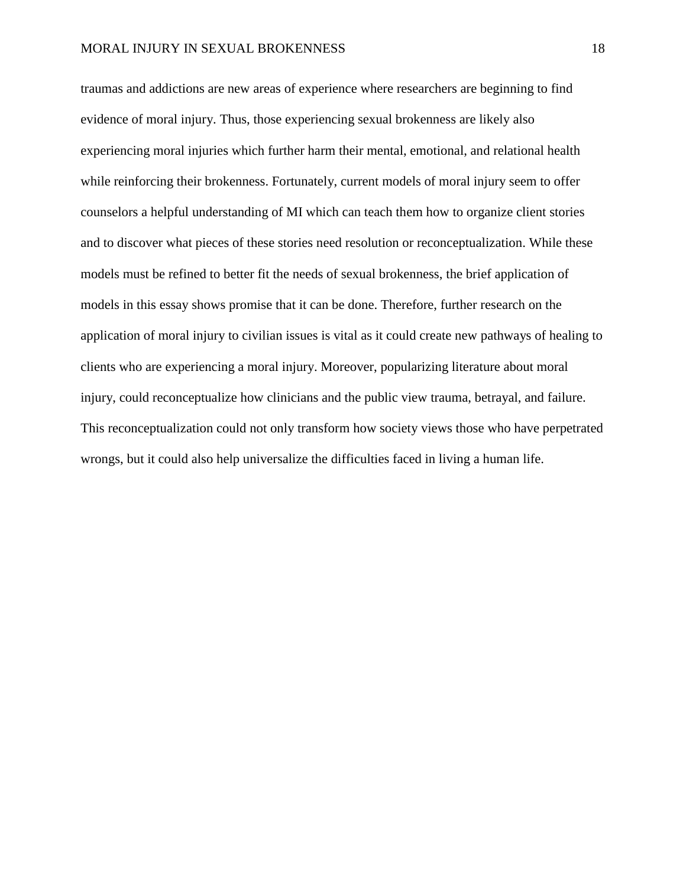traumas and addictions are new areas of experience where researchers are beginning to find evidence of moral injury. Thus, those experiencing sexual brokenness are likely also experiencing moral injuries which further harm their mental, emotional, and relational health while reinforcing their brokenness. Fortunately, current models of moral injury seem to offer counselors a helpful understanding of MI which can teach them how to organize client stories and to discover what pieces of these stories need resolution or reconceptualization. While these models must be refined to better fit the needs of sexual brokenness, the brief application of models in this essay shows promise that it can be done. Therefore, further research on the application of moral injury to civilian issues is vital as it could create new pathways of healing to clients who are experiencing a moral injury. Moreover, popularizing literature about moral injury, could reconceptualize how clinicians and the public view trauma, betrayal, and failure. This reconceptualization could not only transform how society views those who have perpetrated wrongs, but it could also help universalize the difficulties faced in living a human life.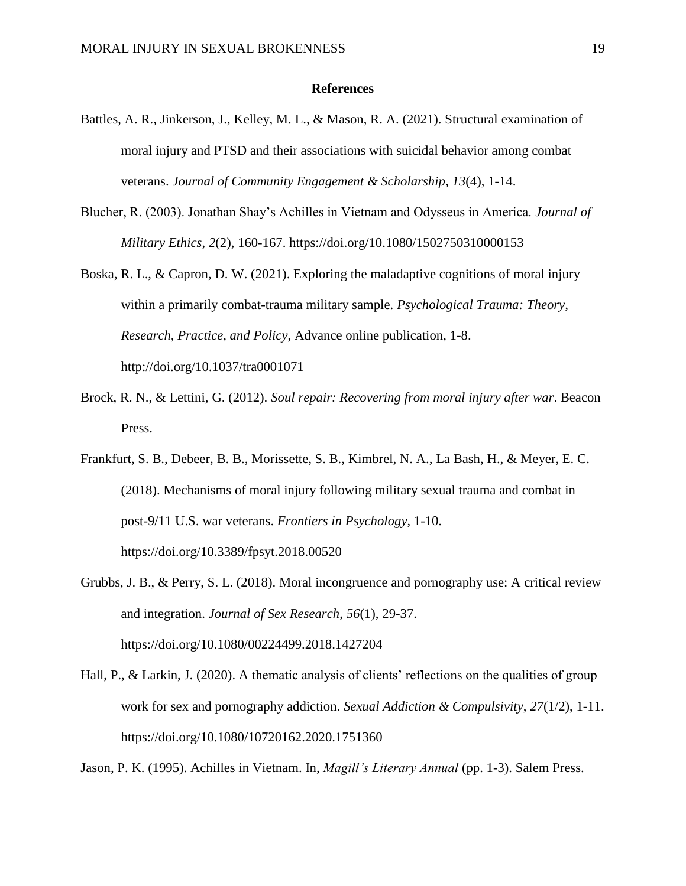#### **References**

- Battles, A. R., Jinkerson, J., Kelley, M. L., & Mason, R. A. (2021). Structural examination of moral injury and PTSD and their associations with suicidal behavior among combat veterans. *Journal of Community Engagement & Scholarship*, *13*(4), 1-14.
- Blucher, R. (2003). Jonathan Shay's Achilles in Vietnam and Odysseus in America. *Journal of Military Ethics*, *2*(2), 160-167. https://doi.org/10.1080/1502750310000153
- Boska, R. L., & Capron, D. W. (2021). Exploring the maladaptive cognitions of moral injury within a primarily combat-trauma military sample. *Psychological Trauma: Theory, Research, Practice, and Policy*, Advance online publication, 1-8. http://doi.org/10.1037/tra0001071
- Brock, R. N., & Lettini, G. (2012). *Soul repair: Recovering from moral injury after war*. Beacon Press.
- Frankfurt, S. B., Debeer, B. B., Morissette, S. B., Kimbrel, N. A., La Bash, H., & Meyer, E. C. (2018). Mechanisms of moral injury following military sexual trauma and combat in post-9/11 U.S. war veterans. *Frontiers in Psychology*, 1-10. <https://doi.org/10.3389/fpsyt.2018.00520>
- Grubbs, J. B., & Perry, S. L. (2018). Moral incongruence and pornography use: A critical review and integration. *Journal of Sex Research*, *56*(1), 29-37. https://doi.org/10.1080/00224499.2018.1427204
- Hall, P., & Larkin, J. (2020). A thematic analysis of clients' reflections on the qualities of group work for sex and pornography addiction. *Sexual Addiction & Compulsivity*, *27*(1/2), 1-11. https://doi.org/10.1080/10720162.2020.1751360

Jason, P. K. (1995). Achilles in Vietnam. In, *Magill's Literary Annual* (pp. 1-3). Salem Press.